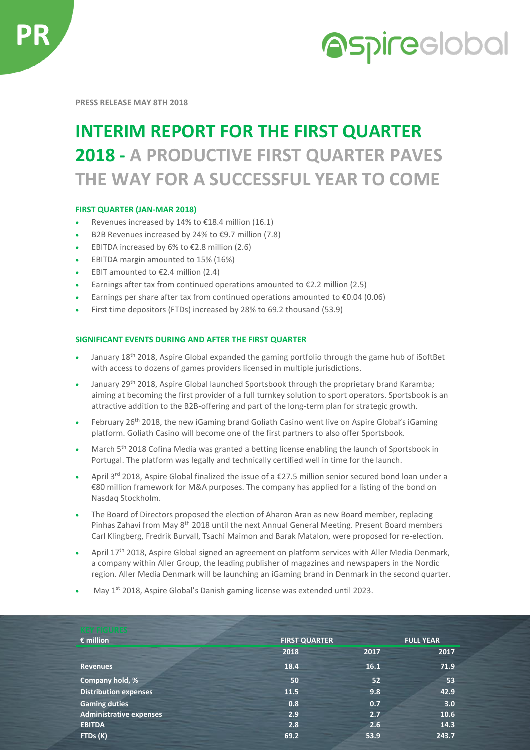



**PRESS RELEASE MAY 8TH 2018**

## **INTERIM REPORT FOR THE FIRST QUARTER 2018 - A PRODUCTIVE FIRST QUARTER PAVES THE WAY FOR A SUCCESSFUL YEAR TO COME**

## **FIRST QUARTER (JAN-MAR 2018)**

- Revenues increased by 14% to €18.4 million (16.1)
- B2B Revenues increased by 24% to €9.7 million (7.8)
- EBITDA increased by 6% to  $£2.8$  million (2.6)
- EBITDA margin amounted to 15% (16%)
- EBIT amounted to  $E$ 2.4 million (2.4)
- Earnings after tax from continued operations amounted to  $E$ 2.2 million (2.5)
- Earnings per share after tax from continued operations amounted to €0.04 (0.06)
- First time depositors (FTDs) increased by 28% to 69.2 thousand (53.9)

## **SIGNIFICANT EVENTS DURING AND AFTER THE FIRST QUARTER**

- January 18<sup>th</sup> 2018, Aspire Global expanded the gaming portfolio through the game hub of iSoftBet with access to dozens of games providers licensed in multiple jurisdictions.
- January 29<sup>th</sup> 2018, Aspire Global launched Sportsbook through the proprietary brand Karamba; aiming at becoming the first provider of a full turnkey solution to sport operators. Sportsbook is an attractive addition to the B2B-offering and part of the long-term plan for strategic growth.
- February 26<sup>th</sup> 2018, the new iGaming brand Goliath Casino went live on Aspire Global's iGaming platform. Goliath Casino will become one of the first partners to also offer Sportsbook.
- March 5<sup>th</sup> 2018 Cofina Media was granted a betting license enabling the launch of Sportsbook in Portugal. The platform was legally and technically certified well in time for the launch.
- April 3rd 2018, Aspire Global finalized the issue of a €27.5 million senior secured bond loan under a €80 million framework for M&A purposes. The company has applied for a listing of the bond on Nasdaq Stockholm.
- The Board of Directors proposed the election of Aharon Aran as new Board member, replacing Pinhas Zahavi from May 8<sup>th</sup> 2018 until the next Annual General Meeting. Present Board members Carl Klingberg, Fredrik Burvall, Tsachi Maimon and Barak Matalon, were proposed for re-election.
- April 17<sup>th</sup> 2018, Aspire Global signed an agreement on platform services with Aller Media Denmark, a company within Aller Group, the leading publisher of magazines and newspapers in the Nordic region. Aller Media Denmark will be launching an iGaming brand in Denmark in the second quarter.
- May 1<sup>st</sup> 2018, Aspire Global's Danish gaming license was extended until 2023.

| <b>KEY FIGURES</b>           |                      |                  |       |
|------------------------------|----------------------|------------------|-------|
| $\epsilon$ million           | <b>FIRST QUARTER</b> | <b>FULL YEAR</b> |       |
|                              | 2018                 | 2017             | 2017  |
| <b>Revenues</b>              | 18.4                 | 16.1             | 71.9  |
| Company hold, %              | 50                   | 52               | 53    |
| <b>Distribution expenses</b> | 11.5                 | 9.8              | 42.9  |
| <b>Gaming duties</b>         | 0.8                  | 0.7              | 3.0   |
| Administrative expenses      | 2.9                  | 2.7              | 10.6  |
| <b>EBITDA</b>                | 2.8                  | 2.6              | 14.3  |
| FTDs (K)                     | 69.2                 | 53.9             | 243.7 |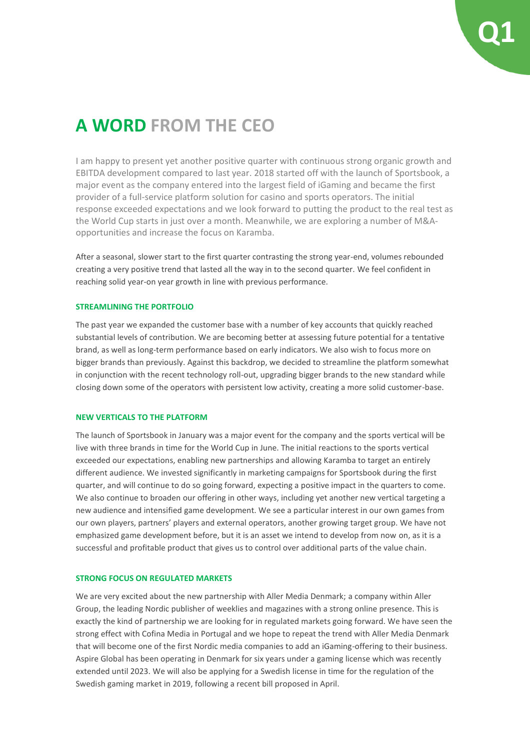# **A WORD FROM THE CEO**

I am happy to present yet another positive quarter with continuous strong organic growth and EBITDA development compared to last year. 2018 started off with the launch of Sportsbook, a major event as the company entered into the largest field of iGaming and became the first provider of a full-service platform solution for casino and sports operators. The initial response exceeded expectations and we look forward to putting the product to the real test as the World Cup starts in just over a month. Meanwhile, we are exploring a number of M&Aopportunities and increase the focus on Karamba.

After a seasonal, slower start to the first quarter contrasting the strong year-end, volumes rebounded creating a very positive trend that lasted all the way in to the second quarter. We feel confident in reaching solid year-on year growth in line with previous performance.

#### **STREAMLINING THE PORTFOLIO**

The past year we expanded the customer base with a number of key accounts that quickly reached substantial levels of contribution. We are becoming better at assessing future potential for a tentative brand, as well as long-term performance based on early indicators. We also wish to focus more on bigger brands than previously. Against this backdrop, we decided to streamline the platform somewhat in conjunction with the recent technology roll-out, upgrading bigger brands to the new standard while closing down some of the operators with persistent low activity, creating a more solid customer-base.

## **NEW VERTICALS TO THE PLATFORM**

The launch of Sportsbook in January was a major event for the company and the sports vertical will be live with three brands in time for the World Cup in June. The initial reactions to the sports vertical exceeded our expectations, enabling new partnerships and allowing Karamba to target an entirely different audience. We invested significantly in marketing campaigns for Sportsbook during the first quarter, and will continue to do so going forward, expecting a positive impact in the quarters to come. We also continue to broaden our offering in other ways, including yet another new vertical targeting a new audience and intensified game development. We see a particular interest in our own games from our own players, partners' players and external operators, another growing target group. We have not emphasized game development before, but it is an asset we intend to develop from now on, as it is a successful and profitable product that gives us to control over additional parts of the value chain.

#### **STRONG FOCUS ON REGULATED MARKETS**

We are very excited about the new partnership with Aller Media Denmark; a company within Aller Group, the leading Nordic publisher of weeklies and magazines with a strong online presence. This is exactly the kind of partnership we are looking for in regulated markets going forward. We have seen the strong effect with Cofina Media in Portugal and we hope to repeat the trend with Aller Media Denmark that will become one of the first Nordic media companies to add an iGaming-offering to their business. Aspire Global has been operating in Denmark for six years under a gaming license which was recently extended until 2023. We will also be applying for a Swedish license in time for the regulation of the Swedish gaming market in 2019, following a recent bill proposed in April.